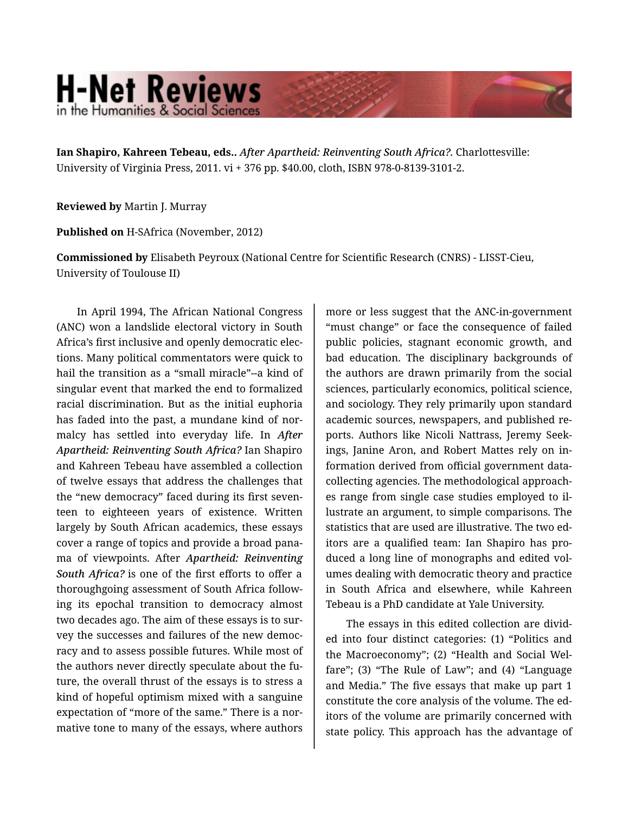## **H-Net Reviews** in the Humanities & Social Scienc

**Ian Shapiro, Kahreen Tebeau, eds..** *After Apartheid: Reinventing South Africa?.* Charlottesville: University of Virginia Press, 2011. vi + 376 pp. \$40.00, cloth, ISBN 978-0-8139-3101-2.

**Reviewed by** Martin J. Murray

**Published on** H-SAfrica (November, 2012)

**Commissioned by** Elisabeth Peyroux (National Centre for Scientific Research (CNRS) - LISST-Cieu, University of Toulouse II)

In April 1994, The African National Congress (ANC) won a landslide electoral victory in South Africa's first inclusive and openly democratic elec‐ tions. Many political commentators were quick to hail the transition as a "small miracle"--a kind of singular event that marked the end to formalized racial discrimination. But as the initial euphoria has faded into the past, a mundane kind of nor‐ malcy has settled into everyday life. In *After Apartheid: Reinventing South Africa?* Ian Shapiro and Kahreen Tebeau have assembled a collection of twelve essays that address the challenges that the "new democracy" faced during its first seven‐ teen to eighteeen years of existence. Written largely by South African academics, these essays cover a range of topics and provide a broad pana‐ ma of viewpoints. After *Apartheid: Reinventing South Africa?* is one of the first efforts to offer a thoroughgoing assessment of South Africa follow‐ ing its epochal transition to democracy almost two decades ago. The aim of these essays is to sur‐ vey the successes and failures of the new democ‐ racy and to assess possible futures. While most of the authors never directly speculate about the fu‐ ture, the overall thrust of the essays is to stress a kind of hopeful optimism mixed with a sanguine expectation of "more of the same." There is a nor‐ mative tone to many of the essays, where authors

more or less suggest that the ANC-in-government "must change" or face the consequence of failed public policies, stagnant economic growth, and bad education. The disciplinary backgrounds of the authors are drawn primarily from the social sciences, particularly economics, political science, and sociology. They rely primarily upon standard academic sources, newspapers, and published re‐ ports. Authors like Nicoli Nattrass, Jeremy Seek‐ ings, Janine Aron, and Robert Mattes rely on in‐ formation derived from official government datacollecting agencies. The methodological approach‐ es range from single case studies employed to il‐ lustrate an argument, to simple comparisons. The statistics that are used are illustrative. The two ed‐ itors are a qualified team: Ian Shapiro has pro‐ duced a long line of monographs and edited vol‐ umes dealing with democratic theory and practice in South Africa and elsewhere, while Kahreen Tebeau is a PhD candidate at Yale University.

The essays in this edited collection are divid‐ ed into four distinct categories: (1) "Politics and the Macroeconomy"; (2) "Health and Social Wel‐ fare"; (3) "The Rule of Law"; and (4) "Language and Media." The five essays that make up part 1 constitute the core analysis of the volume. The ed‐ itors of the volume are primarily concerned with state policy. This approach has the advantage of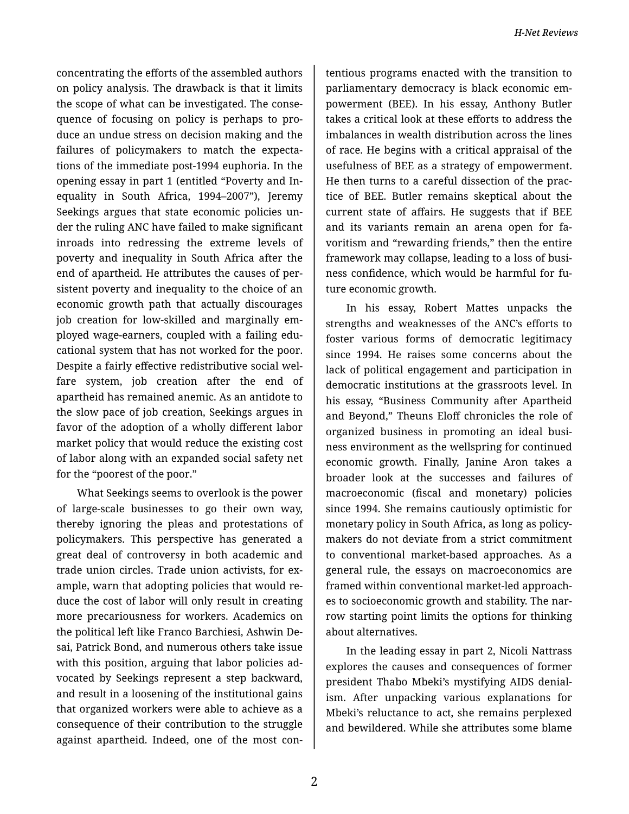concentrating the efforts of the assembled authors on policy analysis. The drawback is that it limits the scope of what can be investigated. The conse‐ quence of focusing on policy is perhaps to pro‐ duce an undue stress on decision making and the failures of policymakers to match the expecta‐ tions of the immediate post-1994 euphoria. In the opening essay in part 1 (entitled "Poverty and In‐ equality in South Africa, 1994–2007"), Jeremy Seekings argues that state economic policies un‐ der the ruling ANC have failed to make significant inroads into redressing the extreme levels of poverty and inequality in South Africa after the end of apartheid. He attributes the causes of per‐ sistent poverty and inequality to the choice of an economic growth path that actually discourages job creation for low-skilled and marginally em‐ ployed wage-earners, coupled with a failing edu‐ cational system that has not worked for the poor. Despite a fairly effective redistributive social wel‐ fare system, job creation after the end of apartheid has remained anemic. As an antidote to the slow pace of job creation, Seekings argues in favor of the adoption of a wholly different labor market policy that would reduce the existing cost of labor along with an expanded social safety net for the "poorest of the poor."

What Seekings seems to overlook is the power of large-scale businesses to go their own way, thereby ignoring the pleas and protestations of policymakers. This perspective has generated a great deal of controversy in both academic and trade union circles. Trade union activists, for ex‐ ample, warn that adopting policies that would re‐ duce the cost of labor will only result in creating more precariousness for workers. Academics on the political left like Franco Barchiesi, Ashwin De‐ sai, Patrick Bond, and numerous others take issue with this position, arguing that labor policies ad‐ vocated by Seekings represent a step backward, and result in a loosening of the institutional gains that organized workers were able to achieve as a consequence of their contribution to the struggle against apartheid. Indeed, one of the most con‐

tentious programs enacted with the transition to parliamentary democracy is black economic em‐ powerment (BEE). In his essay, Anthony Butler takes a critical look at these efforts to address the imbalances in wealth distribution across the lines of race. He begins with a critical appraisal of the usefulness of BEE as a strategy of empowerment. He then turns to a careful dissection of the prac‐ tice of BEE. Butler remains skeptical about the current state of affairs. He suggests that if BEE and its variants remain an arena open for fa‐ voritism and "rewarding friends," then the entire framework may collapse, leading to a loss of busi‐ ness confidence, which would be harmful for fu‐ ture economic growth.

In his essay, Robert Mattes unpacks the strengths and weaknesses of the ANC's efforts to foster various forms of democratic legitimacy since 1994. He raises some concerns about the lack of political engagement and participation in democratic institutions at the grassroots level. In his essay, "Business Community after Apartheid and Beyond," Theuns Eloff chronicles the role of organized business in promoting an ideal busi‐ ness environment as the wellspring for continued economic growth. Finally, Janine Aron takes a broader look at the successes and failures of macroeconomic (fiscal and monetary) policies since 1994. She remains cautiously optimistic for monetary policy in South Africa, as long as policy‐ makers do not deviate from a strict commitment to conventional market-based approaches. As a general rule, the essays on macroeconomics are framed within conventional market-led approach‐ es to socioeconomic growth and stability. The nar‐ row starting point limits the options for thinking about alternatives.

In the leading essay in part 2, Nicoli Nattrass explores the causes and consequences of former president Thabo Mbeki's mystifying AIDS denial‐ ism. After unpacking various explanations for Mbeki's reluctance to act, she remains perplexed and bewildered. While she attributes some blame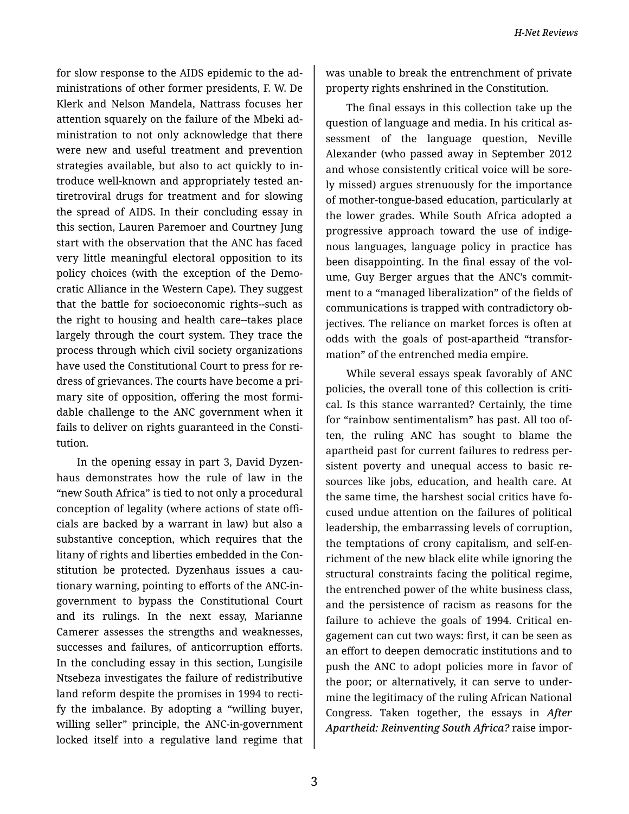for slow response to the AIDS epidemic to the ad‐ ministrations of other former presidents, F. W. De Klerk and Nelson Mandela, Nattrass focuses her attention squarely on the failure of the Mbeki ad‐ ministration to not only acknowledge that there were new and useful treatment and prevention strategies available, but also to act quickly to in‐ troduce well-known and appropriately tested an‐ tiretroviral drugs for treatment and for slowing the spread of AIDS. In their concluding essay in this section, Lauren Paremoer and Courtney Jung start with the observation that the ANC has faced very little meaningful electoral opposition to its policy choices (with the exception of the Demo‐ cratic Alliance in the Western Cape). They suggest that the battle for socioeconomic rights--such as the right to housing and health care--takes place largely through the court system. They trace the process through which civil society organizations have used the Constitutional Court to press for re‐ dress of grievances. The courts have become a pri‐ mary site of opposition, offering the most formi‐ dable challenge to the ANC government when it fails to deliver on rights guaranteed in the Consti‐ tution.

In the opening essay in part 3, David Dyzen‐ haus demonstrates how the rule of law in the "new South Africa" is tied to not only a procedural conception of legality (where actions of state offi‐ cials are backed by a warrant in law) but also a substantive conception, which requires that the litany of rights and liberties embedded in the Con‐ stitution be protected. Dyzenhaus issues a cau‐ tionary warning, pointing to efforts of the ANC-ingovernment to bypass the Constitutional Court and its rulings. In the next essay, Marianne Camerer assesses the strengths and weaknesses, successes and failures, of anticorruption efforts. In the concluding essay in this section, Lungisile Ntsebeza investigates the failure of redistributive land reform despite the promises in 1994 to rectify the imbalance. By adopting a "willing buyer, willing seller" principle, the ANC-in-government locked itself into a regulative land regime that was unable to break the entrenchment of private property rights enshrined in the Constitution.

The final essays in this collection take up the question of language and media. In his critical as‐ sessment of the language question, Neville Alexander (who passed away in September 2012 and whose consistently critical voice will be sore‐ ly missed) argues strenuously for the importance of mother-tongue-based education, particularly at the lower grades. While South Africa adopted a progressive approach toward the use of indige‐ nous languages, language policy in practice has been disappointing. In the final essay of the volume, Guy Berger argues that the ANC's commitment to a "managed liberalization" of the fields of communications is trapped with contradictory ob‐ jectives. The reliance on market forces is often at odds with the goals of post-apartheid "transfor‐ mation" of the entrenched media empire.

While several essays speak favorably of ANC policies, the overall tone of this collection is critical. Is this stance warranted? Certainly, the time for "rainbow sentimentalism" has past. All too of‐ ten, the ruling ANC has sought to blame the apartheid past for current failures to redress per‐ sistent poverty and unequal access to basic re‐ sources like jobs, education, and health care. At the same time, the harshest social critics have fo‐ cused undue attention on the failures of political leadership, the embarrassing levels of corruption, the temptations of crony capitalism, and self-en‐ richment of the new black elite while ignoring the structural constraints facing the political regime, the entrenched power of the white business class, and the persistence of racism as reasons for the failure to achieve the goals of 1994. Critical en‐ gagement can cut two ways: first, it can be seen as an effort to deepen democratic institutions and to push the ANC to adopt policies more in favor of the poor; or alternatively, it can serve to under‐ mine the legitimacy of the ruling African National Congress. Taken together, the essays in *After Apartheid: Reinventing South Africa?* raise impor‐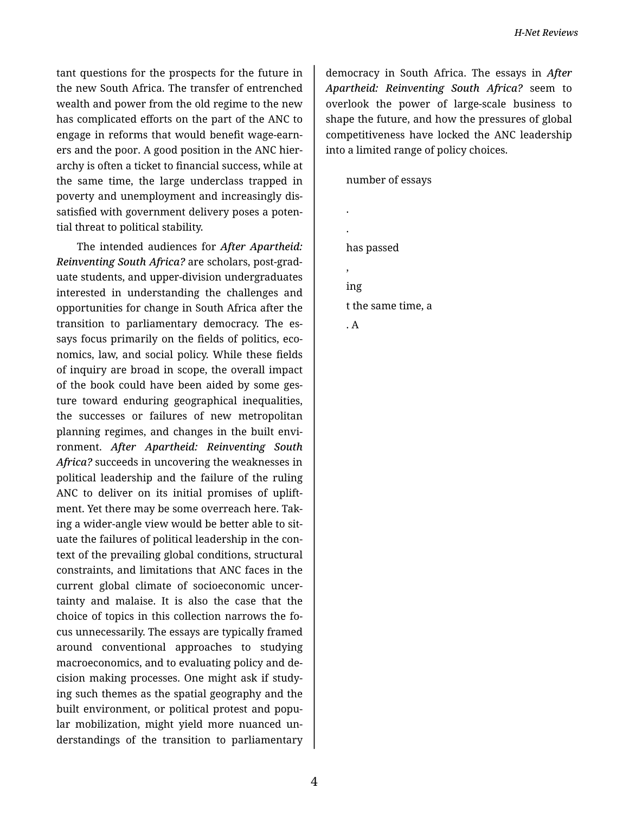tant questions for the prospects for the future in the new South Africa. The transfer of entrenched wealth and power from the old regime to the new has complicated efforts on the part of the ANC to engage in reforms that would benefit wage-earn‐ ers and the poor. A good position in the ANC hier‐ archy is often a ticket to financial success, while at the same time, the large underclass trapped in poverty and unemployment and increasingly dis‐ satisfied with government delivery poses a potential threat to political stability.

The intended audiences for *After Apartheid: Reinventing South Africa?* are scholars, post-grad‐ uate students, and upper-division undergraduates interested in understanding the challenges and opportunities for change in South Africa after the transition to parliamentary democracy. The es‐ says focus primarily on the fields of politics, eco‐ nomics, law, and social policy. While these fields of inquiry are broad in scope, the overall impact of the book could have been aided by some ges‐ ture toward enduring geographical inequalities, the successes or failures of new metropolitan planning regimes, and changes in the built envi‐ ronment. *After Apartheid: Reinventing South Africa?* succeeds in uncovering the weaknesses in political leadership and the failure of the ruling ANC to deliver on its initial promises of uplift‐ ment. Yet there may be some overreach here. Tak‐ ing a wider-angle view would be better able to sit‐ uate the failures of political leadership in the con‐ text of the prevailing global conditions, structural constraints, and limitations that ANC faces in the current global climate of socioeconomic uncer‐ tainty and malaise. It is also the case that the choice of topics in this collection narrows the fo‐ cus unnecessarily. The essays are typically framed around conventional approaches to studying macroeconomics, and to evaluating policy and de‐ cision making processes. One might ask if study‐ ing such themes as the spatial geography and the built environment, or political protest and popu‐ lar mobilization, might yield more nuanced un‐ derstandings of the transition to parliamentary

democracy in South Africa. The essays in *After Apartheid: Reinventing South Africa?* seem to overlook the power of large-scale business to shape the future, and how the pressures of global competitiveness have locked the ANC leadership into a limited range of policy choices.

number of essays

. . has passed , ing t the same time, a . A